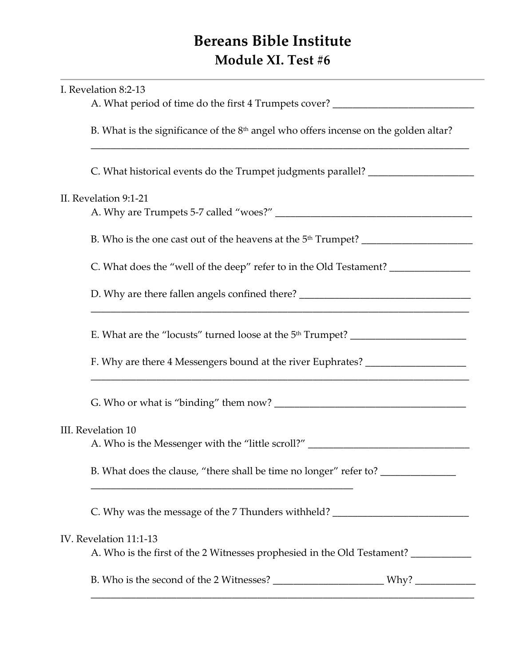## **Bereans Bible Institute Module XI. Test #6**

| I. Revelation 8:2-13                                                                                            |  |
|-----------------------------------------------------------------------------------------------------------------|--|
| A. What period of time do the first 4 Trumpets cover? __________________________                                |  |
| B. What is the significance of the $8th$ angel who offers incense on the golden altar?                          |  |
| C. What historical events do the Trumpet judgments parallel? ___________________                                |  |
| II. Revelation 9:1-21                                                                                           |  |
|                                                                                                                 |  |
| C. What does the "well of the deep" refer to in the Old Testament? _____________                                |  |
| D. Why are there fallen angels confined there? __________________________________                               |  |
| E. What are the "locusts" turned loose at the 5 <sup>th</sup> Trumpet? _____________________                    |  |
| F. Why are there 4 Messengers bound at the river Euphrates? ____________________                                |  |
|                                                                                                                 |  |
| III. Revelation 10<br>A. Who is the Messenger with the "little scroll?" _______________________________         |  |
| B. What does the clause, "there shall be time no longer" refer to? _____________                                |  |
| C. Why was the message of the 7 Thunders withheld? _____________________________                                |  |
| IV. Revelation 11:1-13<br>A. Who is the first of the 2 Witnesses prophesied in the Old Testament? _____________ |  |
| $W$ hy?                                                                                                         |  |

\_\_\_\_\_\_\_\_\_\_\_\_\_\_\_\_\_\_\_\_\_\_\_\_\_\_\_\_\_\_\_\_\_\_\_\_\_\_\_\_\_\_\_\_\_\_\_\_\_\_\_\_\_\_\_\_\_\_\_\_\_\_\_\_\_\_\_\_\_\_\_\_\_\_\_\_